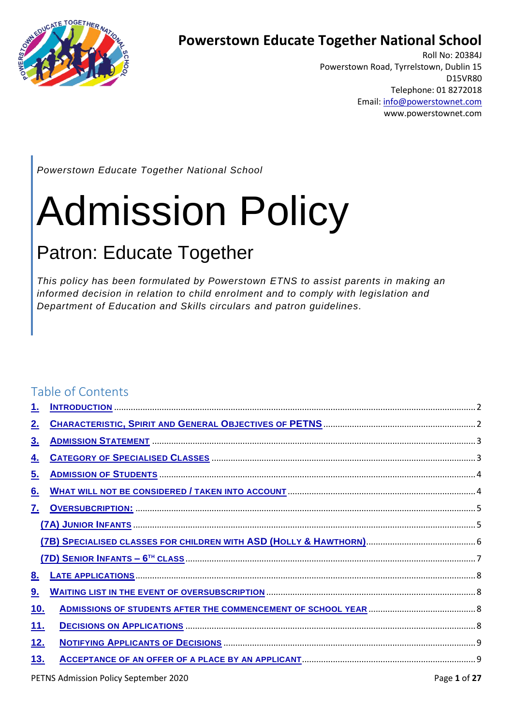

## **Powerstown Educate Together National School**

Roll No: 20384J Powerstown Road, Tyrrelstown, Dublin 15 D15VR80 Telephone: 01 8272018 Email[: info@powerstownet.com](about:blank) www.powerstownet.com

*Powerstown Educate Together National School*

# Admission Policy

## Patron: Educate Together

*This policy has been formulated by Powerstown ETNS to assist parents in making an informed decision in relation to child enrolment and to comply with legislation and Department of Education and Skills circulars and patron guidelines.*

## Table of Contents

| 1.          |  |
|-------------|--|
| <u>2.</u>   |  |
| <u>3.</u>   |  |
| <u>4.</u>   |  |
| <u>5.</u>   |  |
| <u>6.</u>   |  |
| <u>7.</u>   |  |
|             |  |
|             |  |
|             |  |
| <u>8.</u>   |  |
| <u>9.</u>   |  |
| <u>10.</u>  |  |
| <u> 11.</u> |  |
| <u>12.</u>  |  |
| 13.         |  |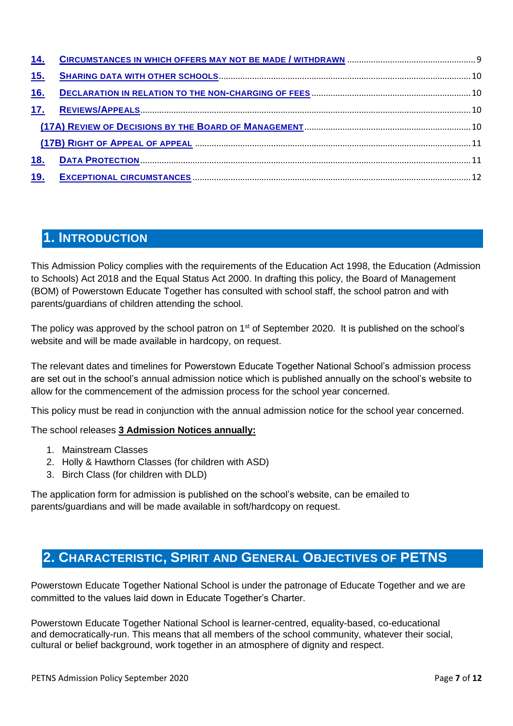| <u>15.</u> |  |
|------------|--|
| <u>16.</u> |  |
| 17.        |  |
|            |  |
|            |  |
| <u>18.</u> |  |
| <u>19.</u> |  |

## <span id="page-1-0"></span>**1. INTRODUCTION**

This Admission Policy complies with the requirements of the Education Act 1998, the Education (Admission to Schools) Act 2018 and the Equal Status Act 2000. In drafting this policy, the Board of Management (BOM) of Powerstown Educate Together has consulted with school staff, the school patron and with parents/guardians of children attending the school.

The policy was approved by the school patron on 1<sup>st</sup> of September 2020. It is published on the school's website and will be made available in hardcopy, on request.

The relevant dates and timelines for Powerstown Educate Together National School's admission process are set out in the school's annual admission notice which is published annually on the school's website to allow for the commencement of the admission process for the school year concerned.

This policy must be read in conjunction with the annual admission notice for the school year concerned.

The school releases **3 Admission Notices annually:**

- 1. Mainstream Classes
- 2. Holly & Hawthorn Classes (for children with ASD)
- 3. Birch Class (for children with DLD)

The application form for admission is published on the school's website, can be emailed to parents/guardians and will be made available in soft/hardcopy on request.

## <span id="page-1-1"></span>**2. CHARACTERISTIC, SPIRIT AND GENERAL OBJECTIVES OF PETNS**

Powerstown Educate Together National School is under the patronage of Educate Together and we are committed to the values laid down in Educate Together's Charter.

Powerstown Educate Together National School is learner-centred, equality-based, co-educational and democratically-run. This means that all members of the school community, whatever their social, cultural or belief background, work together in an atmosphere of dignity and respect.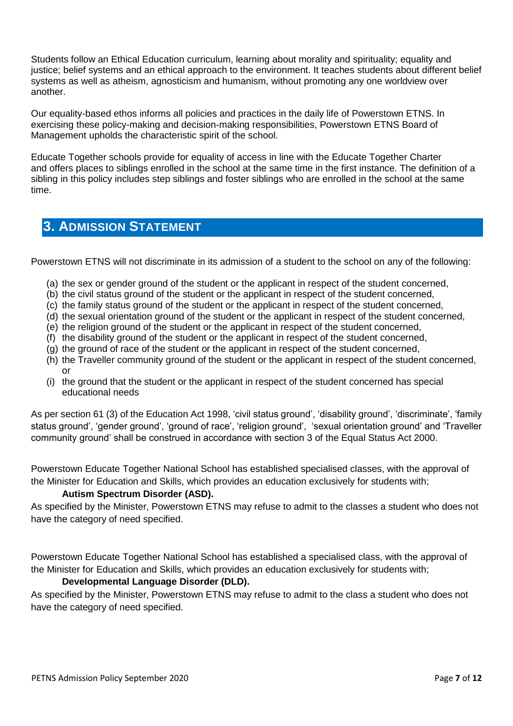Students follow an Ethical Education curriculum, learning about morality and spirituality; equality and justice; belief systems and an ethical approach to the environment. It teaches students about different belief systems as well as atheism, agnosticism and humanism, without promoting any one worldview over another.

Our equality-based ethos informs all policies and practices in the daily life of Powerstown ETNS. In exercising these policy-making and decision-making responsibilities, Powerstown ETNS Board of Management upholds the characteristic spirit of the school.

Educate Together schools provide for equality of access in line with the Educate Together Charter and offers places to siblings enrolled in the school at the same time in the first instance. The definition of a sibling in this policy includes step siblings and foster siblings who are enrolled in the school at the same time.

## <span id="page-2-0"></span>**3. ADMISSION STATEMENT**

Powerstown ETNS will not discriminate in its admission of a student to the school on any of the following:

- (a) the sex or gender ground of the student or the applicant in respect of the student concerned,
- (b) the civil status ground of the student or the applicant in respect of the student concerned,
- (c) the family status ground of the student or the applicant in respect of the student concerned,
- (d) the sexual orientation ground of the student or the applicant in respect of the student concerned,
- (e) the religion ground of the student or the applicant in respect of the student concerned,
- (f) the disability ground of the student or the applicant in respect of the student concerned,
- (g) the ground of race of the student or the applicant in respect of the student concerned,
- (h) the Traveller community ground of the student or the applicant in respect of the student concerned, or
- (i) the ground that the student or the applicant in respect of the student concerned has special educational needs

As per section 61 (3) of the Education Act 1998, 'civil status ground', 'disability ground', 'discriminate', 'family status ground', 'gender ground', 'ground of race', 'religion ground', 'sexual orientation ground' and 'Traveller community ground' shall be construed in accordance with section 3 of the Equal Status Act 2000.

Powerstown Educate Together National School has established specialised classes, with the approval of the Minister for Education and Skills, which provides an education exclusively for students with;

#### **Autism Spectrum Disorder (ASD).**

As specified by the Minister, Powerstown ETNS may refuse to admit to the classes a student who does not have the category of need specified.

Powerstown Educate Together National School has established a specialised class, with the approval of the Minister for Education and Skills, which provides an education exclusively for students with;

#### **Developmental Language Disorder (DLD).**

As specified by the Minister, Powerstown ETNS may refuse to admit to the class a student who does not have the category of need specified.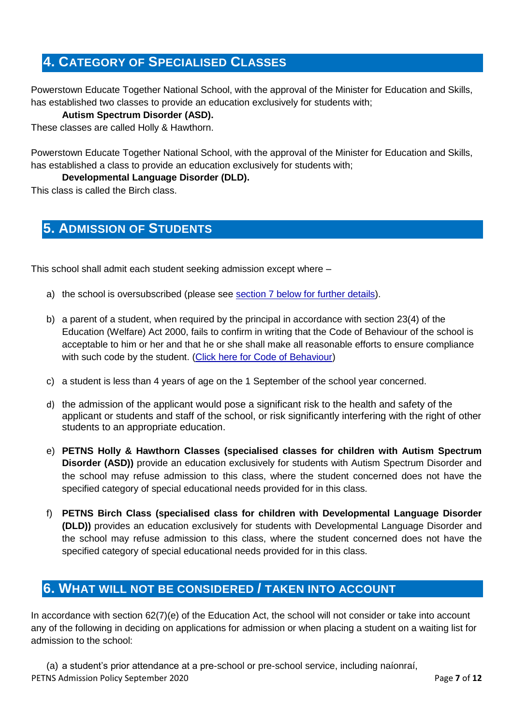## <span id="page-3-0"></span>**4. CATEGORY OF SPECIALISED CLASSES**

Powerstown Educate Together National School, with the approval of the Minister for Education and Skills, has established two classes to provide an education exclusively for students with;

#### **Autism Spectrum Disorder (ASD).**

These classes are called Holly & Hawthorn.

Powerstown Educate Together National School, with the approval of the Minister for Education and Skills, has established a class to provide an education exclusively for students with;

**Developmental Language Disorder (DLD).**

This class is called the Birch class.

## <span id="page-3-1"></span>**5. ADMISSION OF STUDENTS**

This school shall admit each student seeking admission except where –

- a) the school is oversubscribed (please see section 7 [below for further details\)](#page-4-0).
- b) a parent of a student, when required by the principal in accordance with section 23(4) of the Education (Welfare) Act 2000, fails to confirm in writing that the Code of Behaviour of the school is acceptable to him or her and that he or she shall make all reasonable efforts to ensure compliance with such code by the student. [\(Click here for Code of Behaviour\)](about:blank)
- c) a student is less than 4 years of age on the 1 September of the school year concerned.
- d) the admission of the applicant would pose a significant risk to the health and safety of the applicant or students and staff of the school, or risk significantly interfering with the right of other students to an appropriate education.
- e) **PETNS Holly & Hawthorn Classes (specialised classes for children with Autism Spectrum Disorder (ASD))** provide an education exclusively for students with Autism Spectrum Disorder and the school may refuse admission to this class, where the student concerned does not have the specified category of special educational needs provided for in this class.
- f) **PETNS Birch Class (specialised class for children with Developmental Language Disorder (DLD))** provides an education exclusively for students with Developmental Language Disorder and the school may refuse admission to this class, where the student concerned does not have the specified category of special educational needs provided for in this class.

## <span id="page-3-2"></span>**6. WHAT WILL NOT BE CONSIDERED / TAKEN INTO ACCOUNT**

In accordance with section 62(7)(e) of the Education Act, the school will not consider or take into account any of the following in deciding on applications for admission or when placing a student on a waiting list for admission to the school:

PETNS Admission Policy September 2020 **Page 7** of 12 (a) a student's prior attendance at a pre-school or pre-school service, including naíonraí,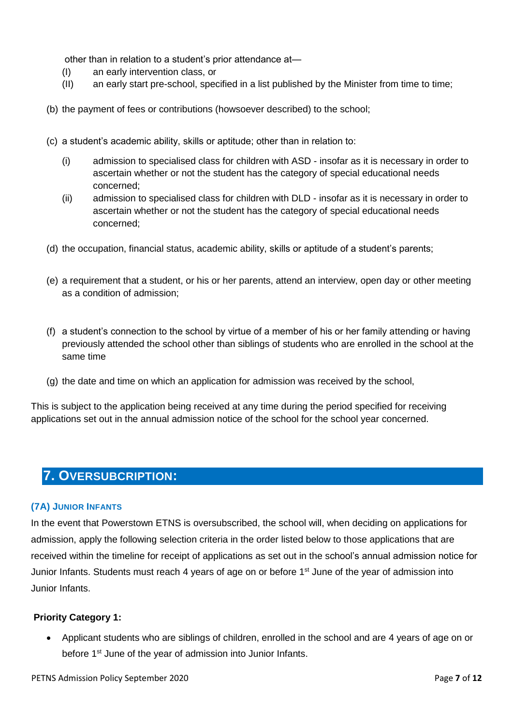other than in relation to a student's prior attendance at—

- (I) an early intervention class, or
- (II) an early start pre-school, specified in a list published by the Minister from time to time;
- (b) the payment of fees or contributions (howsoever described) to the school;
- (c) a student's academic ability, skills or aptitude; other than in relation to:
	- (i) admission to specialised class for children with ASD insofar as it is necessary in order to ascertain whether or not the student has the category of special educational needs concerned;
	- (ii) admission to specialised class for children with DLD insofar as it is necessary in order to ascertain whether or not the student has the category of special educational needs concerned;
- (d) the occupation, financial status, academic ability, skills or aptitude of a student's parents;
- (e) a requirement that a student, or his or her parents, attend an interview, open day or other meeting as a condition of admission;
- (f) a student's connection to the school by virtue of a member of his or her family attending or having previously attended the school other than siblings of students who are enrolled in the school at the same time
- (g) the date and time on which an application for admission was received by the school,

This is subject to the application being received at any time during the period specified for receiving applications set out in the annual admission notice of the school for the school year concerned.

## <span id="page-4-0"></span>**7. OVERSUBCRIPTION:**

#### <span id="page-4-1"></span>**(7A) JUNIOR INFANTS**

In the event that Powerstown ETNS is oversubscribed, the school will, when deciding on applications for admission, apply the following selection criteria in the order listed below to those applications that are received within the timeline for receipt of applications as set out in the school's annual admission notice for Junior Infants. Students must reach 4 years of age on or before 1<sup>st</sup> June of the year of admission into Junior Infants.

#### **Priority Category 1:**

 Applicant students who are siblings of children, enrolled in the school and are 4 years of age on or before 1<sup>st</sup> June of the year of admission into Junior Infants.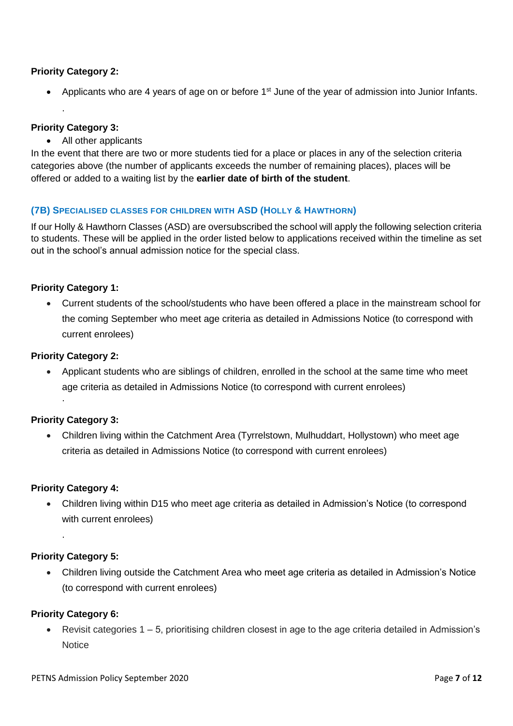#### **Priority Category 2:**

• Applicants who are 4 years of age on or before 1<sup>st</sup> June of the year of admission into Junior Infants.

#### **Priority Category 3:**

.

All other applicants

In the event that there are two or more students tied for a place or places in any of the selection criteria categories above (the number of applicants exceeds the number of remaining places), places will be offered or added to a waiting list by the **earlier date of birth of the student**.

#### <span id="page-5-0"></span>**(7B) SPECIALISED CLASSES FOR CHILDREN WITH ASD (HOLLY & HAWTHORN)**

If our Holly & Hawthorn Classes (ASD) are oversubscribed the school will apply the following selection criteria to students. These will be applied in the order listed below to applications received within the timeline as set out in the school's annual admission notice for the special class.

#### **Priority Category 1:**

 Current students of the school/students who have been offered a place in the mainstream school for the coming September who meet age criteria as detailed in Admissions Notice (to correspond with current enrolees)

#### **Priority Category 2:**

 Applicant students who are siblings of children, enrolled in the school at the same time who meet age criteria as detailed in Admissions Notice (to correspond with current enrolees) .

#### **Priority Category 3:**

 Children living within the Catchment Area (Tyrrelstown, Mulhuddart, Hollystown) who meet age criteria as detailed in Admissions Notice (to correspond with current enrolees)

#### **Priority Category 4:**

 Children living within D15 who meet age criteria as detailed in Admission's Notice (to correspond with current enrolees)

#### **Priority Category 5:**

.

 Children living outside the Catchment Area who meet age criteria as detailed in Admission's Notice (to correspond with current enrolees)

#### **Priority Category 6:**

 Revisit categories 1 – 5, prioritising children closest in age to the age criteria detailed in Admission's **Notice**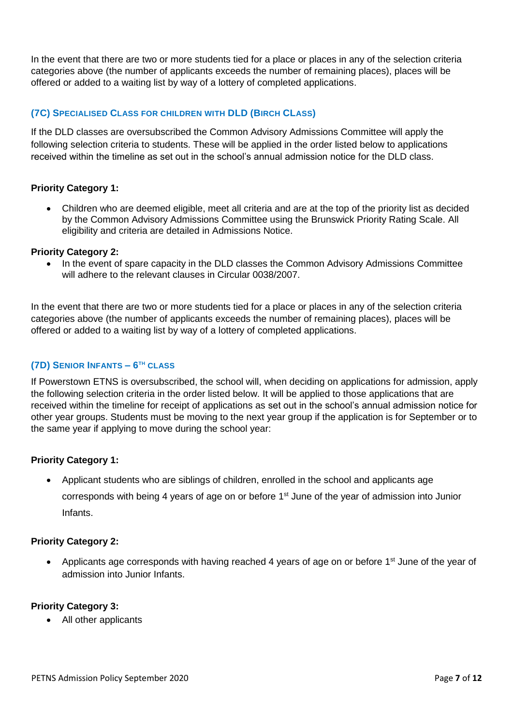In the event that there are two or more students tied for a place or places in any of the selection criteria categories above (the number of applicants exceeds the number of remaining places), places will be offered or added to a waiting list by way of a lottery of completed applications.

#### **(7C) SPECIALISED CLASS FOR CHILDREN WITH DLD (BIRCH CLASS)**

If the DLD classes are oversubscribed the Common Advisory Admissions Committee will apply the following selection criteria to students. These will be applied in the order listed below to applications received within the timeline as set out in the school's annual admission notice for the DLD class.

#### **Priority Category 1:**

 Children who are deemed eligible, meet all criteria and are at the top of the priority list as decided by the Common Advisory Admissions Committee using the Brunswick Priority Rating Scale. All eligibility and criteria are detailed in Admissions Notice.

#### **Priority Category 2:**

 In the event of spare capacity in the DLD classes the Common Advisory Admissions Committee will adhere to the relevant clauses in Circular 0038/2007.

In the event that there are two or more students tied for a place or places in any of the selection criteria categories above (the number of applicants exceeds the number of remaining places), places will be offered or added to a waiting list by way of a lottery of completed applications.

#### <span id="page-6-0"></span>**(7D) SENIOR INFANTS – 6 TH CLASS**

If Powerstown ETNS is oversubscribed, the school will, when deciding on applications for admission, apply the following selection criteria in the order listed below. It will be applied to those applications that are received within the timeline for receipt of applications as set out in the school's annual admission notice for other year groups. Students must be moving to the next year group if the application is for September or to the same year if applying to move during the school year:

#### **Priority Category 1:**

 Applicant students who are siblings of children, enrolled in the school and applicants age corresponds with being 4 years of age on or before 1st June of the year of admission into Junior Infants.

#### **Priority Category 2:**

• Applicants age corresponds with having reached 4 years of age on or before 1st June of the year of admission into Junior Infants.

#### **Priority Category 3:**

All other applicants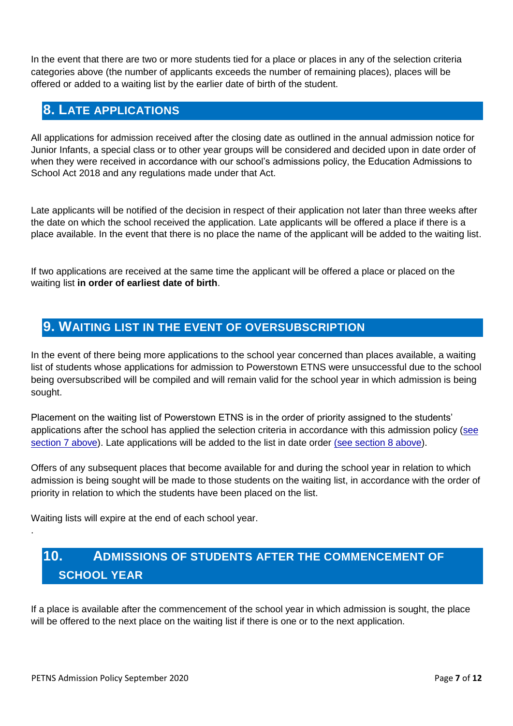In the event that there are two or more students tied for a place or places in any of the selection criteria categories above (the number of applicants exceeds the number of remaining places), places will be offered or added to a waiting list by the earlier date of birth of the student.

## <span id="page-7-0"></span>**8. LATE APPLICATIONS**

All applications for admission received after the closing date as outlined in the annual admission notice for Junior Infants, a special class or to other year groups will be considered and decided upon in date order of when they were received in accordance with our school's admissions policy, the Education Admissions to School Act 2018 and any regulations made under that Act.

Late applicants will be notified of the decision in respect of their application not later than three weeks after the date on which the school received the application. Late applicants will be offered a place if there is a place available. In the event that there is no place the name of the applicant will be added to the waiting list.

If two applications are received at the same time the applicant will be offered a place or placed on the waiting list **in order of earliest date of birth**.

## <span id="page-7-1"></span>**9. WAITING LIST IN THE EVENT OF OVERSUBSCRIPTION**

In the event of there being more applications to the school year concerned than places available, a waiting list of students whose applications for admission to Powerstown ETNS were unsuccessful due to the school being oversubscribed will be compiled and will remain valid for the school year in which admission is being sought.

Placement on the waiting list of Powerstown ETNS is in the order of priority assigned to the students' applications after the school has applied the selection criteria in accordance with this admission policy [\(see](#page-4-0)  [section 7 above\)](#page-4-0). Late applications will be added to the list in date order [\(see section 8 above\)](#page-7-0).

Offers of any subsequent places that become available for and during the school year in relation to which admission is being sought will be made to those students on the waiting list, in accordance with the order of priority in relation to which the students have been placed on the list.

Waiting lists will expire at the end of each school year.

## **10. ADMISSIONS OF STUDENTS AFTER THE COMMENCEMENT OF SCHOOL YEAR**

If a place is available after the commencement of the school year in which admission is sought, the place will be offered to the next place on the waiting list if there is one or to the next application.

<span id="page-7-2"></span>.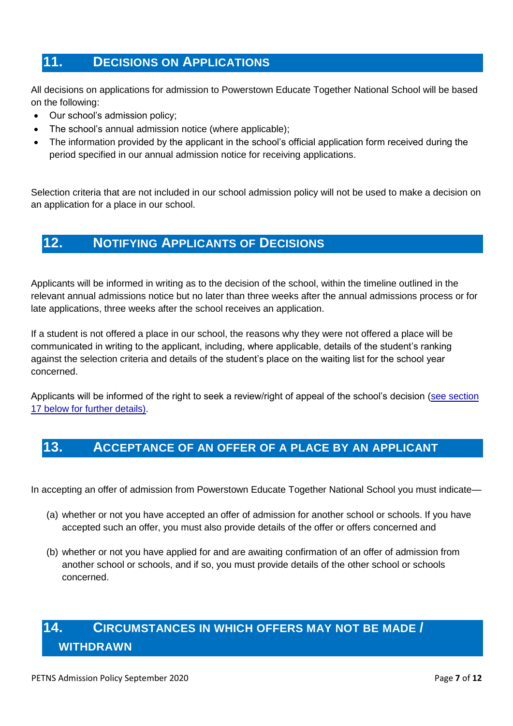## <span id="page-8-0"></span>**11. DECISIONS ON APPLICATIONS**

All decisions on applications for admission to Powerstown Educate Together National School will be based on the following:

- Our school's admission policy;
- The school's annual admission notice (where applicable);
- The information provided by the applicant in the school's official application form received during the period specified in our annual admission notice for receiving applications.

Selection criteria that are not included in our school admission policy will not be used to make a decision on an application for a place in our school.

## <span id="page-8-1"></span>**12. NOTIFYING APPLICANTS OF DECISIONS**

Applicants will be informed in writing as to the decision of the school, within the timeline outlined in the relevant annual admissions notice but no later than three weeks after the annual admissions process or for late applications, three weeks after the school receives an application.

If a student is not offered a place in our school, the reasons why they were not offered a place will be communicated in writing to the applicant, including, where applicable, details of the student's ranking against the selection criteria and details of the student's place on the waiting list for the school year concerned.

Applicants will be informed of the right to seek a review/right of appeal of the school's decision [\(see section](#page-9-2)  [17 below for further details\).](#page-9-2)

## <span id="page-8-2"></span>**13. ACCEPTANCE OF AN OFFER OF A PLACE BY AN APPLICANT**

In accepting an offer of admission from Powerstown Educate Together National School you must indicate—

- (a) whether or not you have accepted an offer of admission for another school or schools. If you have accepted such an offer, you must also provide details of the offer or offers concerned and
- (b) whether or not you have applied for and are awaiting confirmation of an offer of admission from another school or schools, and if so, you must provide details of the other school or schools concerned.

## <span id="page-8-3"></span>**14. CIRCUMSTANCES IN WHICH OFFERS MAY NOT BE MADE / WITHDRAWN**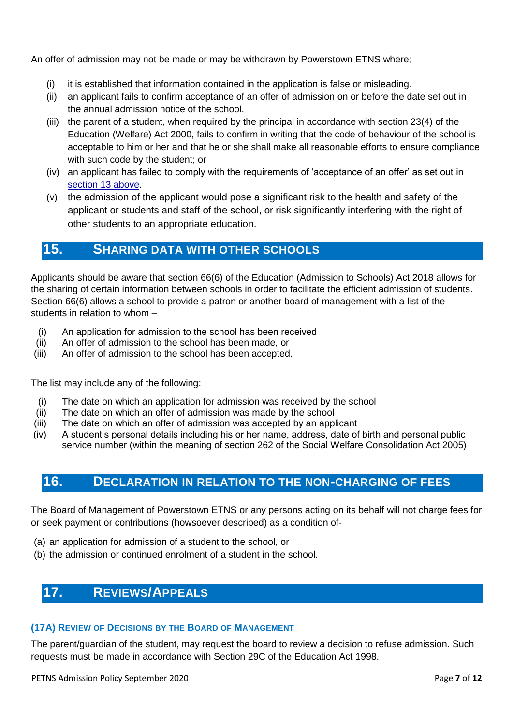An offer of admission may not be made or may be withdrawn by Powerstown ETNS where;

- (i) it is established that information contained in the application is false or misleading.
- (ii) an applicant fails to confirm acceptance of an offer of admission on or before the date set out in the annual admission notice of the school.
- (iii) the parent of a student, when required by the principal in accordance with section 23(4) of the Education (Welfare) Act 2000, fails to confirm in writing that the code of behaviour of the school is acceptable to him or her and that he or she shall make all reasonable efforts to ensure compliance with such code by the student; or
- (iv) an applicant has failed to comply with the requirements of 'acceptance of an offer' as set out in [section 13](#page-8-2) above.
- (v) the admission of the applicant would pose a significant risk to the health and safety of the applicant or students and staff of the school, or risk significantly interfering with the right of other students to an appropriate education.

## <span id="page-9-0"></span>**15. SHARING DATA WITH OTHER SCHOOLS**

Applicants should be aware that section 66(6) of the Education (Admission to Schools) Act 2018 allows for the sharing of certain information between schools in order to facilitate the efficient admission of students. Section 66(6) allows a school to provide a patron or another board of management with a list of the students in relation to whom –

- (i) An application for admission to the school has been received
- (ii) An offer of admission to the school has been made, or
- (iii) An offer of admission to the school has been accepted.

The list may include any of the following:

- (i) The date on which an application for admission was received by the school
- (ii) The date on which an offer of admission was made by the school
- (iii) The date on which an offer of admission was accepted by an applicant
- (iv) A student's personal details including his or her name, address, date of birth and personal public service number (within the meaning of section 262 of the Social Welfare Consolidation Act 2005)

## <span id="page-9-1"></span>**16. DECLARATION IN RELATION TO THE NON-CHARGING OF FEES**

The Board of Management of Powerstown ETNS or any persons acting on its behalf will not charge fees for or seek payment or contributions (howsoever described) as a condition of-

- (a) an application for admission of a student to the school, or
- (b) the admission or continued enrolment of a student in the school.

## <span id="page-9-2"></span>**17. REVIEWS/APPEALS**

#### <span id="page-9-3"></span>**(17A) REVIEW OF DECISIONS BY THE BOARD OF MANAGEMENT**

The parent/guardian of the student, may request the board to review a decision to refuse admission. Such requests must be made in accordance with Section 29C of the Education Act 1998.

PETNS Admission Policy September 2020 **Page 7** of 12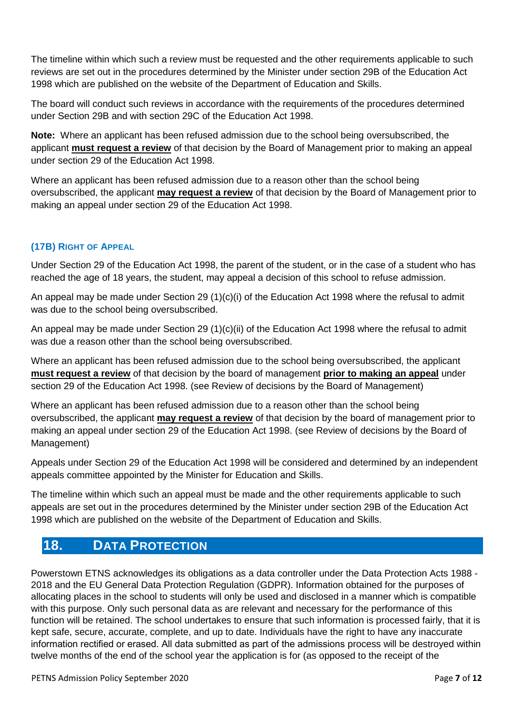The timeline within which such a review must be requested and the other requirements applicable to such reviews are set out in the procedures determined by the Minister under section 29B of the Education Act 1998 which are published on the website of the Department of Education and Skills.

The board will conduct such reviews in accordance with the requirements of the procedures determined under Section 29B and with section 29C of the Education Act 1998.

**Note:** Where an applicant has been refused admission due to the school being oversubscribed, the applicant **must request a review** of that decision by the Board of Management prior to making an appeal under section 29 of the Education Act 1998.

Where an applicant has been refused admission due to a reason other than the school being oversubscribed, the applicant **may request a review** of that decision by the Board of Management prior to making an appeal under section 29 of the Education Act 1998.

#### <span id="page-10-0"></span>**(17B) RIGHT OF APPEAL OF APPEAL**

Under Section 29 of the Education Act 1998, the parent of the student, or in the case of a student who has reached the age of 18 years, the student, may appeal a decision of this school to refuse admission.

An appeal may be made under Section 29 (1)(c)(i) of the Education Act 1998 where the refusal to admit was due to the school being oversubscribed.

An appeal may be made under Section 29 (1)(c)(ii) of the Education Act 1998 where the refusal to admit was due a reason other than the school being oversubscribed.

Where an applicant has been refused admission due to the school being oversubscribed, the applicant **must request a review** of that decision by the board of management **prior to making an appeal** under section 29 of the Education Act 1998. (see Review of decisions by the Board of Management)

Where an applicant has been refused admission due to a reason other than the school being oversubscribed, the applicant **may request a review** of that decision by the board of management prior to making an appeal under section 29 of the Education Act 1998. (see Review of decisions by the Board of Management)

Appeals under Section 29 of the Education Act 1998 will be considered and determined by an independent appeals committee appointed by the Minister for Education and Skills.

The timeline within which such an appeal must be made and the other requirements applicable to such appeals are set out in the procedures determined by the Minister under section 29B of the Education Act 1998 which are published on the website of the Department of Education and Skills.

## <span id="page-10-1"></span>**18. DATA PROTECTION**

Powerstown ETNS acknowledges its obligations as a data controller under the Data Protection Acts 1988 - 2018 and the EU General Data Protection Regulation (GDPR). Information obtained for the purposes of allocating places in the school to students will only be used and disclosed in a manner which is compatible with this purpose. Only such personal data as are relevant and necessary for the performance of this function will be retained. The school undertakes to ensure that such information is processed fairly, that it is kept safe, secure, accurate, complete, and up to date. Individuals have the right to have any inaccurate information rectified or erased. All data submitted as part of the admissions process will be destroyed within twelve months of the end of the school year the application is for (as opposed to the receipt of the